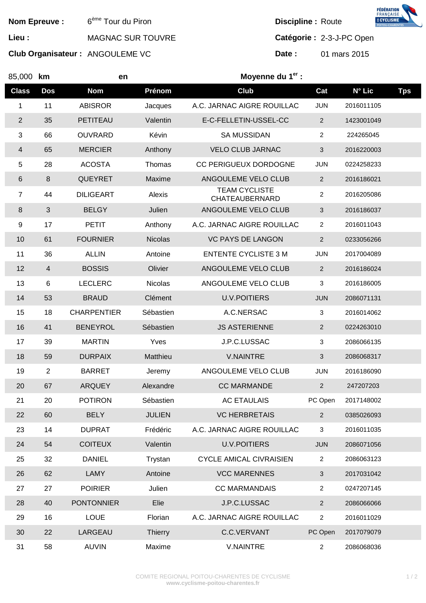**FÉDÉRATION<br>FRANÇAISE<br>BCYCLISME Nom Epreuve :** 6<sup>ème</sup> Tour du Piron **Discipline : Route** Lieu : **MAGNAC SUR TOUVRE Catégorie :** 2-3-J-PC Open **Club Organisateur :** ANGOULEME VC **Date : 01 mars 2015** 85,000 **km en Moyenne du 1er : Class Dos Nom Prénom Club Cat N° Lic Tps**  1 11 ABISROR Jacques A.C. JARNAC AIGRE ROUILLAC JUN 2016011105

| 1                       | 11               | ABISROR            | Jacques        | A.C. JARNAC AIGRE ROUILLAC             | JUN            | 2016011105 |  |
|-------------------------|------------------|--------------------|----------------|----------------------------------------|----------------|------------|--|
| $\overline{2}$          | 35               | PETITEAU           | Valentin       | E-C-FELLETIN-USSEL-CC                  | $\overline{a}$ | 1423001049 |  |
| 3                       | 66               | <b>OUVRARD</b>     | Kévin          | <b>SA MUSSIDAN</b>                     | $\overline{2}$ | 224265045  |  |
| $\overline{\mathbf{4}}$ | 65               | <b>MERCIER</b>     | Anthony        | <b>VELO CLUB JARNAC</b>                | 3              | 2016220003 |  |
| 5                       | 28               | <b>ACOSTA</b>      | Thomas         | CC PERIGUEUX DORDOGNE                  | <b>JUN</b>     | 0224258233 |  |
| $\,6$                   | $\boldsymbol{8}$ | <b>QUEYRET</b>     | Maxime         | ANGOULEME VELO CLUB                    | $\overline{a}$ | 2016186021 |  |
| $\overline{7}$          | 44               | <b>DILIGEART</b>   | Alexis         | <b>TEAM CYCLISTE</b><br>CHATEAUBERNARD | $\overline{a}$ | 2016205086 |  |
| $\,8\,$                 | $\mathbf{3}$     | <b>BELGY</b>       | Julien         | ANGOULEME VELO CLUB                    | 3              | 2016186037 |  |
| $\boldsymbol{9}$        | 17               | <b>PETIT</b>       | Anthony        | A.C. JARNAC AIGRE ROUILLAC             | $\overline{c}$ | 2016011043 |  |
| 10                      | 61               | <b>FOURNIER</b>    | <b>Nicolas</b> | <b>VC PAYS DE LANGON</b>               | $\overline{2}$ | 0233056266 |  |
| 11                      | 36               | <b>ALLIN</b>       | Antoine        | <b>ENTENTE CYCLISTE 3 M</b>            | <b>JUN</b>     | 2017004089 |  |
| 12                      | $\overline{4}$   | <b>BOSSIS</b>      | Olivier        | ANGOULEME VELO CLUB                    | $\overline{2}$ | 2016186024 |  |
| 13                      | 6                | <b>LECLERC</b>     | Nicolas        | ANGOULEME VELO CLUB                    | 3              | 2016186005 |  |
| 14                      | 53               | <b>BRAUD</b>       | Clément        | <b>U.V.POITIERS</b>                    | <b>JUN</b>     | 2086071131 |  |
| 15                      | 18               | <b>CHARPENTIER</b> | Sébastien      | A.C.NERSAC                             | 3              | 2016014062 |  |
| 16                      | 41               | <b>BENEYROL</b>    | Sébastien      | <b>JS ASTERIENNE</b>                   | $\overline{2}$ | 0224263010 |  |
| 17                      | 39               | <b>MARTIN</b>      | Yves           | J.P.C.LUSSAC                           | 3              | 2086066135 |  |
| 18                      | 59               | <b>DURPAIX</b>     | Matthieu       | <b>V.NAINTRE</b>                       | 3              | 2086068317 |  |
| 19                      | $\overline{2}$   | <b>BARRET</b>      | Jeremy         | ANGOULEME VELO CLUB                    | <b>JUN</b>     | 2016186090 |  |
| 20                      | 67               | <b>ARQUEY</b>      | Alexandre      | <b>CC MARMANDE</b>                     | $\overline{a}$ | 247207203  |  |
| 21                      | 20               | <b>POTIRON</b>     | Sébastien      | <b>AC ETAULAIS</b>                     | PC Open        | 2017148002 |  |
| 22                      | 60               | <b>BELY</b>        | <b>JULIEN</b>  | <b>VC HERBRETAIS</b>                   | $\overline{2}$ | 0385026093 |  |
| 23                      | 14               | <b>DUPRAT</b>      | Frédéric       | A.C. JARNAC AIGRE ROUILLAC             | 3              | 2016011035 |  |
| 24                      | 54               | <b>COITEUX</b>     | Valentin       | <b>U.V.POITIERS</b>                    | <b>JUN</b>     | 2086071056 |  |
| 25                      | 32               | <b>DANIEL</b>      | Trystan        | <b>CYCLE AMICAL CIVRAISIEN</b>         | $\overline{2}$ | 2086063123 |  |
| 26                      | 62               | LAMY               | Antoine        | <b>VCC MARENNES</b>                    | 3              | 2017031042 |  |
| 27                      | 27               | <b>POIRIER</b>     | Julien         | <b>CC MARMANDAIS</b>                   | $\overline{2}$ | 0247207145 |  |
| 28                      | 40               | <b>PONTONNIER</b>  | Elie           | J.P.C.LUSSAC                           | $\overline{2}$ | 2086066066 |  |
| 29                      | 16               | <b>LOUE</b>        | Florian        | A.C. JARNAC AIGRE ROUILLAC             | 2              | 2016011029 |  |
| 30                      | 22               | LARGEAU            | <b>Thierry</b> | C.C.VERVANT                            | PC Open        | 2017079079 |  |
| 31                      | 58               | <b>AUVIN</b>       | Maxime         | <b>V.NAINTRE</b>                       | $\overline{a}$ | 2086068036 |  |